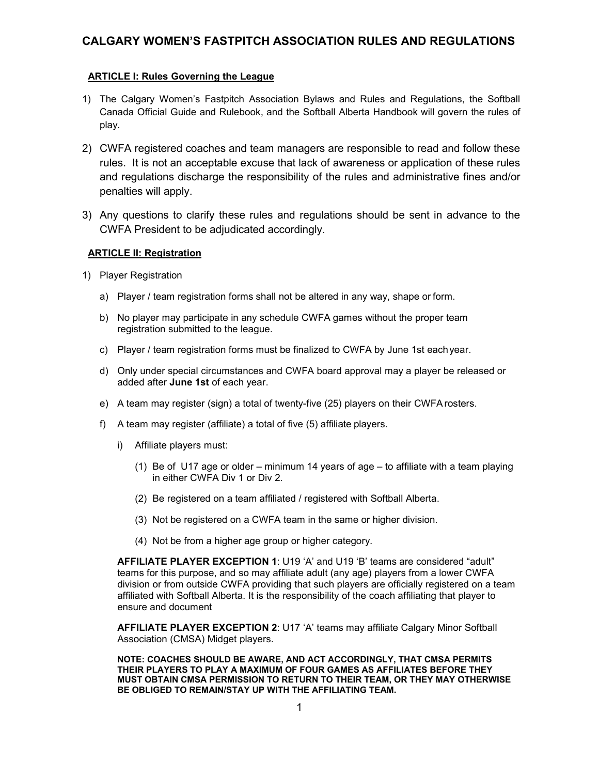# **CALGARY WOMEN'S FASTPITCH ASSOCIATION RULES AND REGULATIONS**

# **ARTICLE I: Rules Governing the League**

- 1) The Calgary Women's Fastpitch Association Bylaws and Rules and Regulations, the Softball Canada Official Guide and Rulebook, and the Softball Alberta Handbook will govern the rules of play.
- 2) CWFA registered coaches and team managers are responsible to read and follow these rules. It is not an acceptable excuse that lack of awareness or application of these rules and regulations discharge the responsibility of the rules and administrative fines and/or penalties will apply.
- 3) Any questions to clarify these rules and regulations should be sent in advance to the CWFA President to be adjudicated accordingly.

# **ARTICLE II: Registration**

- 1) Player Registration
	- a) Player / team registration forms shall not be altered in any way, shape or form.
	- b) No player may participate in any schedule CWFA games without the proper team registration submitted to the league.
	- c) Player / team registration forms must be finalized to CWFA by June 1st eachyear.
	- d) Only under special circumstances and CWFA board approval may a player be released or added after **June 1st** of each year.
	- e) A team may register (sign) a total of twenty-five (25) players on their CWFA rosters.
	- f) A team may register (affiliate) a total of five (5) affiliate players.
		- i) Affiliate players must:
			- (1) Be of U17 age or older minimum 14 years of age to affiliate with a team playing in either CWFA Div 1 or Div 2.
			- (2) Be registered on a team affiliated / registered with Softball Alberta.
			- (3) Not be registered on a CWFA team in the same or higher division.
			- (4) Not be from a higher age group or higher category.

**AFFILIATE PLAYER EXCEPTION 1**: U19'A' and U19 'B' teams are considered "adult" teams for this purpose, and so may affiliate adult (any age) players from a lower CWFA division or from outside CWFA providing that such players are officially registered on a team affiliated with Softball Alberta. It is the responsibility of the coach affiliating that player to ensure and document

**AFFILIATE PLAYER EXCEPTION 2**: U17'A' teams may affiliate Calgary Minor Softball Association (CMSA) Midget players.

**NOTE: COACHES SHOULD BE AWARE, AND ACT ACCORDINGLY, THAT CMSA PERMITS THEIR PLAYERS TO PLAY A MAXIMUM OF FOUR GAMES AS AFFILIATES BEFORE THEY MUST OBTAIN CMSA PERMISSION TO RETURN TO THEIR TEAM, OR THEY MAY OTHERWISE BE OBLIGED TO REMAIN/STAY UP WITH THE AFFILIATING TEAM.**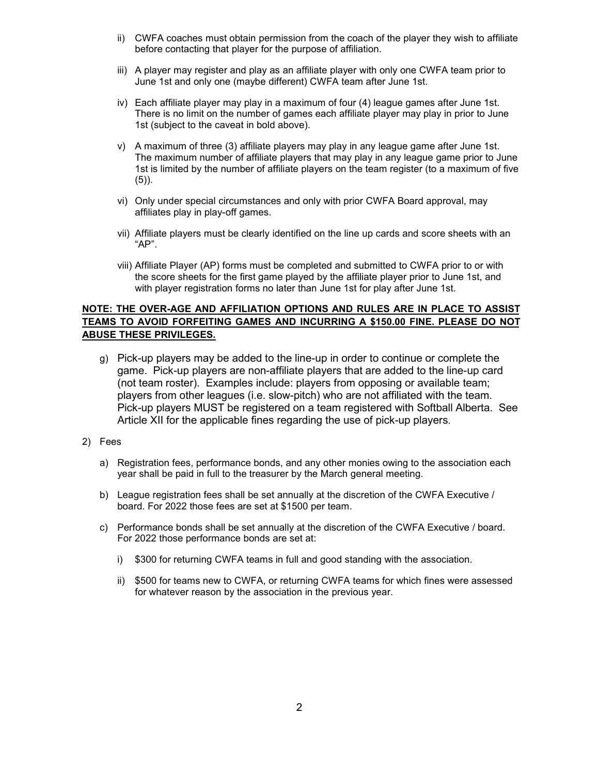- ii) CWFA coaches must obtain permission from the coach of the player they wish to affiliate before contacting that player for the purpose of affiliation.
- iii) A player may register and play as an affiliate player with only one CWFA team prior to June 1st and only one (maybe different) CWFA team after June 1st.
- iv) Each affiliate player may play in a maximum of four (4) league games after June 1st. There is no limit on the number of games each affiliate player may play in prior to June 1st (subject to the caveat in bold above).
- v) A maximum of three (3) affiliate players may play in any league game after June 1st. The maximum number of affiliate players that may play in any league game prior to June 1st is limited by the number of affiliate players on the team register (to a maximum of five  $(5)$ ).
- vi) Only under special circumstances and only with prior CWFA Board approval,may affiliates play in play-off games.
- vii) Affiliate players must be clearly identified on the line up cards and score sheets with an "AP".
- viii) Affiliate Player (AP) forms must be completed and submitted to CWFA prior to or with the score sheets for the first game played by the affiliate player prior to June 1st, and with player registration forms no later than June 1st for play after June 1st.

# **NOTE: THE OVER-AGE AND AFFILIATION OPTIONS AND RULES ARE IN PLACE TO ASSIST TEAMS TO AVOID FORFEITING GAMES AND INCURRING A \$150.00 FINE. PLEASE DO NOT ABUSE THESE PRIVILEGES.**

- g) Pick-up players may be added to the line-up in order to continue or complete the game. Pick-up players are non-affiliate players that are added to the line-up card (not team roster). Examples include: players from opposing or available team; players from other leagues(i.e. slow-pitch) who are not affiliated with the team. Pick-up players MUST be registered on a team registered with Softball Alberta. See Article XII for the applicable fines regarding the use of pick-up players.
- 2) Fees
	- a) Registration fees, performance bonds, and any other monies owing to the association each year shall be paid in full to the treasurer by the March general meeting.
	- b) League registration fees shall be set annually at the discretion of the CWFA Executive / board. For 2022 those fees are set at \$1500 per team.
	- c) Performance bonds shall be set annually at the discretion of the CWFA Executive / board. For 2022 those performance bonds are set at:
		- i) \$300 for returning CWFA teams in full and good standing with the association.
		- ii) \$500 for teams new to CWFA, or returning CWFA teams for which fines were assessed for whatever reason by the association in the previous year.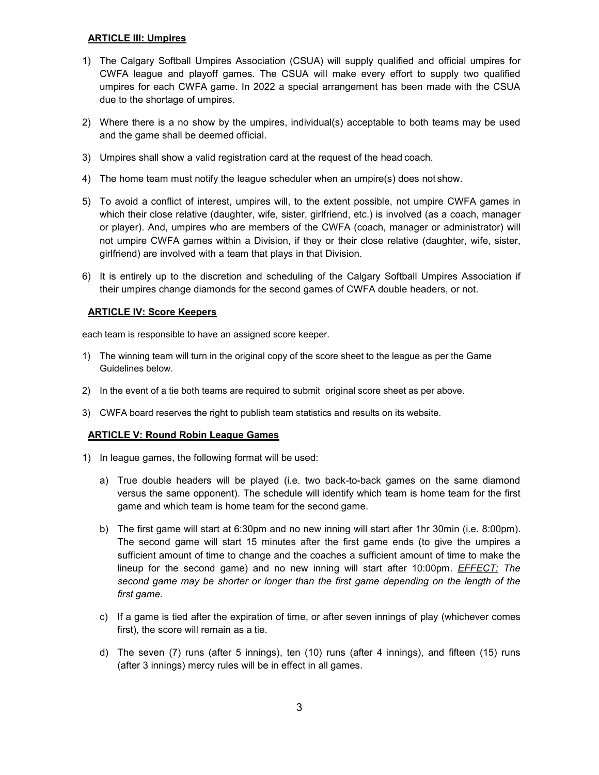# **ARTICLE III: Umpires**

- 1) The Calgary Softball Umpires Association (CSUA) will supply qualified and official umpires for CWFA league and playoff games. The CSUA will make every effort to supply two qualified umpires for each CWFA game. In 2022 a special arrangement has been made with the CSUA
- due to the shortage of umpires.<br>2) Where there is a no show by the umpires, individual(s) acceptable to both teams may be used and the game shall be deemed official.
- 3) Umpires shall show a valid registration card at the request of the head coach.
- 4) The home team must notify the league scheduler when an umpire(s) does not show.
- 5) To avoid a conflict of interest, umpires will, to the extent possible, not umpire CWFA games in which their close relative (daughter, wife, sister, girlfriend, etc.) is involved (as a coach, manager or player). And, umpires who are members of the CWFA (coach, manager or administrator) will not umpire CWFA games within a Division, if they or their close relative (daughter, wife, sister, girlfriend) are involved with a team that plays in that Division.
- 6) It is entirely up to the discretion and scheduling of the Calgary Softball Umpires Association if their umpires change diamonds for the second games of CWFA double headers, or not.

# **ARTICLE IV: Score Keepers**

each team is responsible to have an assigned score keeper.

- 1) The winning team will turn in the original copy of the score sheet to the league as per the Game Guidelines below.
- 2) In the event of a tie both teams are required to submit original score sheet as per above.
- 3) CWFA board reserves the right to publish team statistics and results on its website.

### **ARTICLE V: Round Robin League Games**

- 1) In league games, the following format will be used:
	- a) True double headers will be played (i.e. two back-to-back games on the same diamond versus the same opponent). The schedule will identify which team is home team for the first game and which team is home team for the second game.
	- b) The first game will start at 6:30pm and no new inning will start after 1hr 30min (i.e. 8:00pm). The second game will start 15 minutes after the first game ends (to give the umpires a sufficient amount of time to change and the coaches a sufficient amount of time to make the lineup for the second game) and no new inning will start after 10:00pm. *EFFECT: The second game may be shorter or longer than the first game depending on the length of the first game.*
	- c) If a game is tied after the expiration of time, or after seven innings of play (whichever comes first), the score will remain as a tie.
	- d) The seven (7) runs (after 5 innings), ten (10) runs (after 4 innings), and fifteen (15) runs (after 3 innings) mercy rules will be in effect in all games.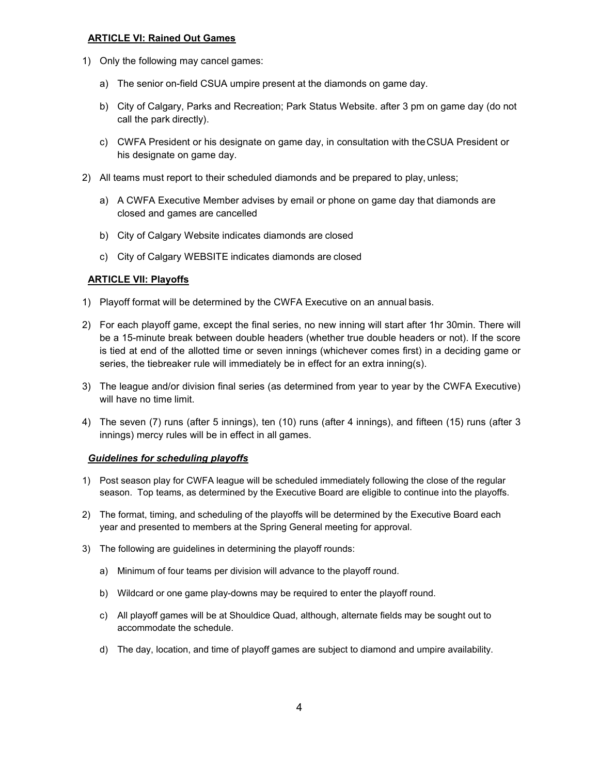#### **ARTICLE VI: Rained Out Games**

- 1) Only the following may cancel games:
	- a) The senior on-field CSUA umpire present at the diamonds on game day.
	- b) City of Calgary, Parks and Recreation; Park Status Website. after 3 pm on game day (do not call the park directly).
	- c) CWFA President or his designate on game day, in consultation with theCSUA President or his designate on game day.
- 2) All teams must report to their scheduled diamonds and be prepared to play, unless;
	- a) A CWFA Executive Member advises by email or phone on game day that diamonds are closed and games are cancelled
	- b) City of Calgary Website indicates diamonds are closed
	- c) City of Calgary WEBSITE indicates diamonds are closed

### **ARTICLE VII: Playoffs**

- 1) Playoff format will be determined by the CWFA Executive on an annual basis.
- 2) For each playoff game, except the final series, no new inning will start after 1hr 30min. There will be a 15-minute break between double headers (whether true double headers or not). If the score is tied at end of the allotted time or seven innings (whichever comes first) in a deciding game or series, the tiebreaker rule will immediately be in effect for an extra inning(s).
- 3) The league and/or division final series (as determined from year to year by the CWFA Executive) will have no time limit.
- 4) The seven (7) runs (after 5 innings), ten (10) runs (after 4 innings), and fifteen (15) runs (after 3 innings) mercy rules will be in effect in all games.

# *Guidelines for scheduling playoffs*

- 1) Post season play for CWFA league will be scheduled immediately following the close of the regular season. Top teams, as determined by the Executive Board are eligible to continue into the playoffs.
- 2) The format, timing, and scheduling of the playoffs will be determined by the Executive Board each year and presented to members at the Spring General meeting for approval.
- 3) The following are guidelines in determining the playoff rounds:
	- a) Minimum of four teams per division will advance to the playoff round.
	- b) Wildcard or one game play-downs may be required to enter the playoff round.
	- c) All playoff games will be at Shouldice Quad, although, alternate fields may be sought out to accommodate the schedule.
	- d) The day, location, and time of playoff games are subject to diamond and umpire availability.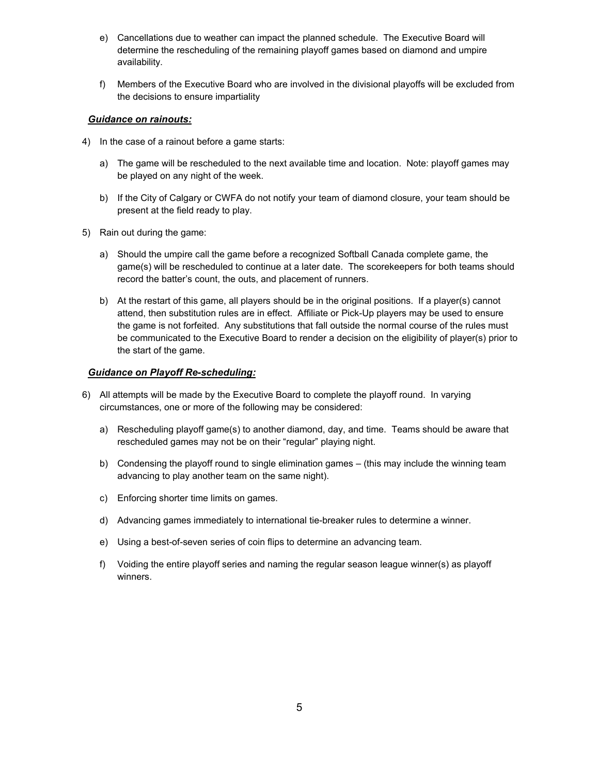- e) Cancellations due to weather can impact the planned schedule. The Executive Board will determine the rescheduling of the remaining playoff games based on diamond and umpire availability.
- f) Members of the Executive Board who are involved in the divisional playoffs will be excluded from the decisions to ensure impartiality

### *Guidance on rainouts:*

- 4) In the case of a rainout before a game starts:
	- a) The game will be rescheduled to the next available time and location. Note: playoff games may be played on any night of the week.
	- b) If the City of Calgary or CWFA do not notify your team of diamond closure, your team should be present at the field ready to play.
- 5) Rain out during the game:
	- a) Should the umpire call the game before a recognized Softball Canada complete game, the game(s) will be rescheduled to continue at a later date. The scorekeepers for both teams should record the batter's count, the outs, and placement of runners.
	- b) At the restart of this game, all players should be in the original positions. If a player(s) cannot attend, then substitution rules are in effect. Affiliate or Pick-Up players may be used to ensure the game is not forfeited. Any substitutions that fall outside the normal course of the rules must be communicated to the Executive Board to render a decision on the eligibility of player(s) prior to the start of the game.

#### *Guidance on Playoff Re-scheduling:*

- 6) Allattempts will be made by the Executive Board to complete the playoff round. In varying circumstances, one or more of the following may be considered:
	- a) Rescheduling playoff game(s) to another diamond, day, and time. Teams should be aware that rescheduled games may not be on their "regular" playing night.
	- b) Condensing the playoff round to single elimination games (this may include the winning team advancing to play another team on the same night).
	- c) Enforcing shorter time limits on games.
	- d) Advancing games immediately to international tie-breaker rules to determine a winner.
	- e) Using a best-of-seven series of coin flips to determine an advancing team.
	- f) Voiding the entire playoff series and naming the regular season league winner(s) as playoff winners.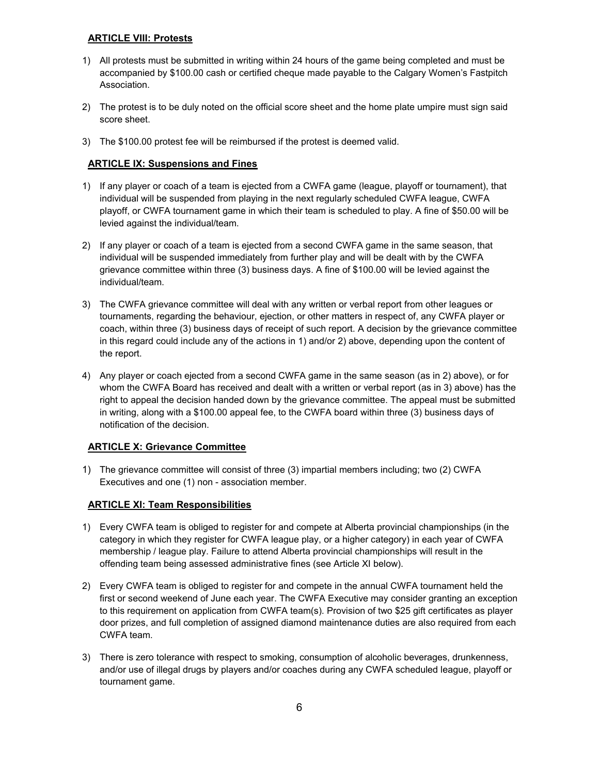## **ARTICLE VIII: Protests**

- 1) All protests must be submitted in writing within 24 hours of the game being completed and must be accompanied by \$100.00 cash or certified cheque made payable to the Calgary Women's Fastpitch Association.
- 2) The protest is to be duly noted on the official score sheet and the home plate umpire must sign said score sheet.
- 3) The \$100.00 protest fee will be reimbursed if the protest is deemed valid.

# **ARTICLE IX: Suspensions and Fines**

- 1) If any player or coach of a team is ejected from a CWFA game (league, playoff or tournament), that individual will be suspended from playing in the next regularly scheduled CWFA league, CWFA playoff, or CWFA tournament game in which their team is scheduled to play. A fine of \$50.00 will be levied against the individual/team.
- 2) If any player or coach of a team is ejected from a second CWFA game in the same season, that individual will be suspended immediately from further play and will be dealt with by the CWFA grievance committee within three (3) business days. A fine of \$100.00 will be levied against the individual/team.
- 3) The CWFA grievance committee will deal with any written or verbal report from other leagues or tournaments, regarding the behaviour, ejection, or other matters in respect of, any CWFA player or coach, within three (3) business days of receipt of such report. A decision by the grievance committee in this regard could include any of the actions in 1) and/or 2) above, depending upon the content of the report.
- 4) Any player or coach ejected from a second CWFA game in the same season (as in 2) above), or for whom the CWFA Board has received and dealt with a written or verbal report (as in 3) above) has the right to appeal the decision handed down by the grievance committee. The appeal must be submitted in writing, along with a \$100.00 appeal fee, to the CWFA board within three (3) business days of notification of the decision.

# **ARTICLE X: Grievance Committee**

1) The grievance committee will consist of three (3) impartial members including; two (2) CWFA Executives and one (1) non - association member.

### **ARTICLE XI: Team Responsibilities**

- 1) Every CWFA team is obliged to register for and compete at Alberta provincial championships (in the category in which they register for CWFA league play, or a higher category) in each year of CWFA membership / league play. Failure to attend Alberta provincial championships will result in the offending team being assessed administrative fines (see Article XI below).
- 2) Every CWFA team is obliged to register for and compete in the annual CWFA tournament held the first or second weekend of June each year. The CWFA Executive may consider granting an exception to this requirement on application from CWFA team(s). Provision of two \$25 gift certificates as player door prizes, and full completion of assigned diamond maintenance duties are also required from each CWFA team.
- 3) There iszero tolerance with respect to smoking, consumption of alcoholic beverages, drunkenness, and/or use of illegal drugs by players and/or coaches during any CWFA scheduled league, playoff or tournament game.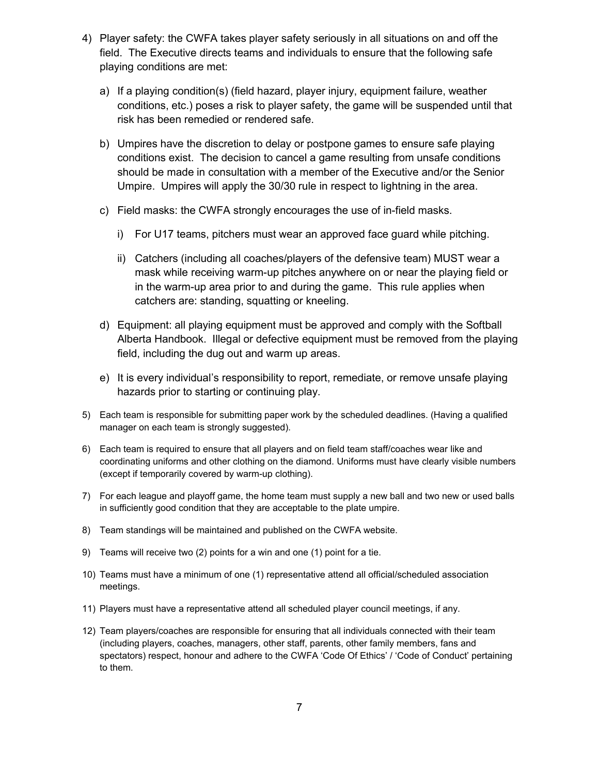- 4) Player safety: the CWFA takes player safety seriously in all situations on and off the field. The Executive directs teams and individuals to ensure that the following safe playing conditions are met:
	- a) If a playing condition(s) (field hazard, player injury, equipment failure, weather conditions, etc.) poses a risk to player safety, the game will be suspended until that risk has been remedied or rendered safe.
	- b) Umpires have the discretion to delay or postpone games to ensure safe playing conditions exist. The decision to cancel a game resulting from unsafe conditions should be made in consultation with a member of the Executive and/or the Senior Umpire. Umpires will apply the 30/30 rule in respect to lightning in the area.<br>c) Field masks: the CWFA strongly encourages the use of in-field masks.
	- - i) For U17 teams, pitchers must wear an approved face guard while pitching.
		- ii) Catchers (including all coaches/players of the defensive team) MUST wear a mask while receiving warm-up pitches anywhere on or near the playing field or in the warm-up area prior to and during the game. This rule applies when catchers are: standing, squatting or kneeling.
	- d) Equipment: all playing equipment must be approved and comply with the Softball Alberta Handbook. Illegal or defective equipment must be removed from the playing field, including the dug out and warm up areas.
	- e) It is every individual's responsibility to report, remediate, or remove unsafe playing hazards prior to starting or continuing play.
- 5) Each team is responsible for submitting paper work by the scheduled deadlines. (Having a qualified manager on each team is strongly suggested).
- 6) Each team is required to ensure that all players and on field team staff/coaches wear like and coordinating uniforms and other clothing on the diamond. Uniforms must have clearly visible numbers (except if temporarily covered by warm-up clothing).
- 7) For each league and playoff game, the home team must supply a new ball and two new or used balls in sufficiently good condition that they are acceptable to the plate umpire.
- 8) Team standings will be maintained and published on the CWFA website.
- 9) Teams will receive two (2) points for a win and one (1) point for a tie.
- 10) Teams must have a minimum of one (1) representative attend all official/scheduled association meetings.
- 11) Players must have a representative attend all scheduled player council meetings, if any.
- 12) Team players/coaches are responsible for ensuring that all individuals connected with their team (including players, coaches, managers, other staff, parents, other family members, fans and spectators) respect, honour and adhere to the CWFA 'Code Of Ethics' / 'Code of Conduct' pertaining to them.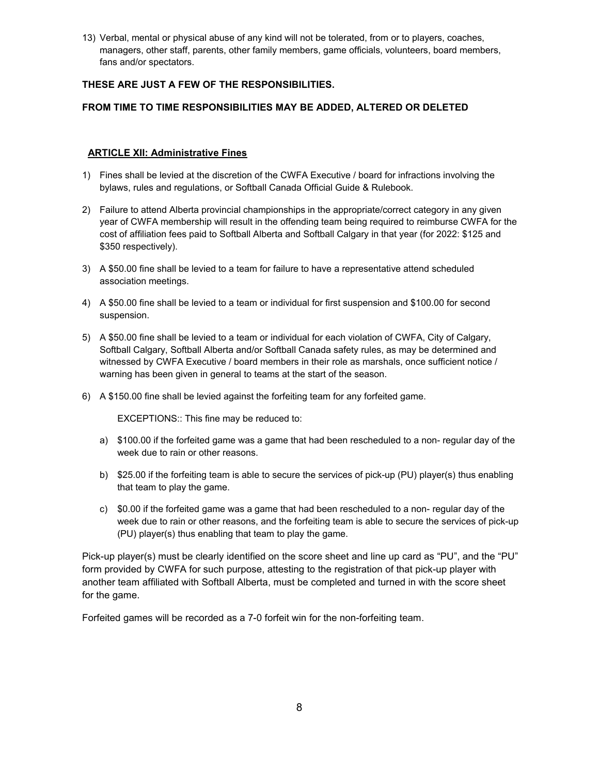13) Verbal, mental or physical abuse of any kind will not be tolerated, from or to players, coaches, managers, other staff, parents, other family members, game officials, volunteers, board members, fans and/or spectators.

# **THESE ARE JUST A FEW OF THE RESPONSIBILITIES.**

# **FROM TIME TO TIME RESPONSIBILITIES MAY BE ADDED, ALTERED OR DELETED**

## **ARTICLE XII: Administrative Fines**

- 1) Fines shall be levied at the discretion of the CWFA Executive / board for infractions involving the bylaws, rules and regulations, or Softball Canada Official Guide & Rulebook.
- 2) Failure to attend Alberta provincial championships in the appropriate/correct category in any given year ofCWFA membership will result in the offending team being required to reimburse CWFA for the cost of affiliation fees paid to Softball Alberta and Softball Calgary in that year (for 2022: \$125 and \$350 respectively).
- 3) A \$50.00 fine shall be levied to a team for failure to have a representative attend scheduled association meetings.
- 4) A \$50.00 fine shall be levied to a team or individual for first suspension and \$100.00 for second suspension.
- 5) A \$50.00 fine shall be levied to a team or individual for each violation of CWFA, City of Calgary, Softball Calgary, Softball Alberta and/or Softball Canada safety rules, as may be determined and witnessed by CWFA Executive / board members in their role as marshals, once sufficient notice / warning has been given in general to teams at the start of the season.
- 6) A \$150.00 fine shall be levied against the forfeiting team for any forfeited game.

EXCEPTIONS:: This fine may be reduced to:

- a) \$100.00 if the forfeited game was a game that had been rescheduled to a non-regular day of the week due to rain or other reasons.
- b) \$25.00 if the forfeiting team is able to secure the services of pick-up (PU) player(s) thus enabling that team to play the game.
- c) \$0.00 if the forfeited game was a game that had been rescheduled to a non-regular day of the week due to rain or other reasons, and the forfeiting team is able to secure the services of pick-up (PU) player(s) thus enabling that team to play the game.

Pick-up player(s) must be clearly identified on the score sheet and line up card as "PU", and the "PU" form provided by CWFA for such purpose, attesting to the registration of that pick-up player with another team affiliated with Softball Alberta, must be completed and turned in with the score sheet for the game.

Forfeited games will be recorded as a 7-0 forfeit win for the non-forfeiting team.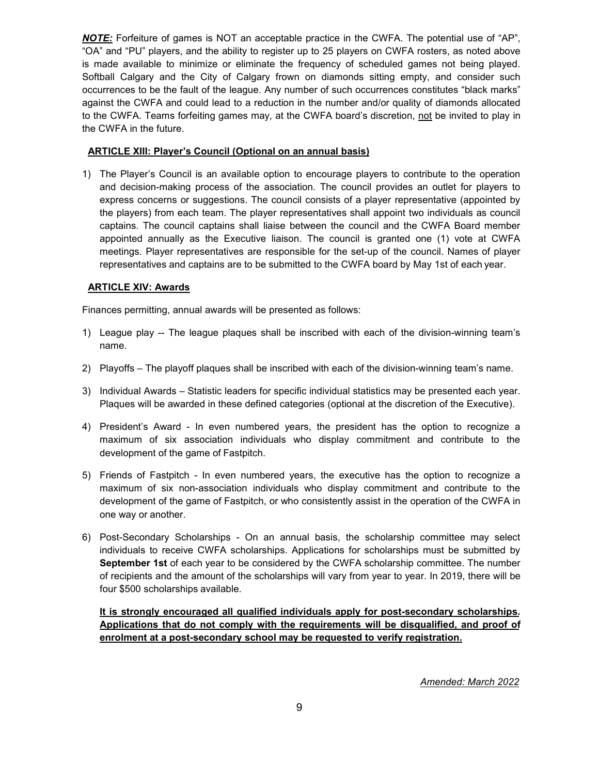*NOTE:* Forfeiture of games is NOT an acceptable practice in the CWFA. The potential use of "AP", "OA" and "PU" players, and the ability to register up to 25 players on CWFA rosters, as noted above is made available to minimize or eliminate the frequency of scheduled games not being played. Softball Calgary and the City of Calgary frown on diamonds sitting empty, and consider such occurrences to be the fault of the league. Any number of such occurrences constitutes "black marks" against the CWFA and could lead to a reduction in the number and/or quality of diamonds allocated to the CWFA. Teams forfeiting games may, at the CWFA board's discretion, not be invited to play in the CWFA in the future.

# **ARTICLE XIII: Player's Council (Optional on an annual basis)**

1) The Player's Council is an available option to encourage players to contribute to the operation and decision-making process of the association. The council provides an outlet for players to express concerns or suggestions. The council consists of a player representative (appointed by the players) from each team. The player representatives shall appoint two individuals as council captains. The council captains shall liaise between the council and the CWFA Board member appointed annually as the Executive liaison. The council is granted one (1) vote at CWFA meetings. Player representatives are responsible for the set-up of the council. Names of player representatives and captains are to be submitted to the CWFA board by May 1st of each year.

# **ARTICLE XIV: Awards**

Finances permitting, annual awards will be presented as follows:

- 1) League play -- The league plagues shall be inscribed with each of the division-winning team's name.
- 2) Playoffs The playoff plaques shall be inscribed with each of the division-winning team's name.
- 3) Individual Awards Statistic leaders for specific individual statistics may be presented each year. Plaques will be awarded in these defined categories (optional at the discretion of the Executive).4) President's Award - In even numbered years, the president has the option to recognize <sup>a</sup>
- maximum of six association individuals who display commitment and contribute to the development of the game of Fastpitch.
- 5) Friends of Fastpitch In even numbered years, the executive has the option to recognize a maximum of six non-association individuals who display commitment and contribute to the development of the game of Fastpitch, or who consistently assist in the operation of the CWFA in one way or another.
- 6) Post-Secondary Scholarships On an annual basis, the scholarship committee may select individuals to receive CWFA scholarships. Applications for scholarships must be submitted by **September 1st** of each year to be considered by the CWFA scholarship committee. The number of recipients and the amount of the scholarships will vary from year to year. In 2019, there will be four \$500 scholarships available.

**It is strongly encouraged all qualified individuals apply for post-secondary scholarships. Applications that do not comply with the requirements will be disqualified, and proof of enrolment at a post-secondary school may be requested to verify registration.**

*Amended: March 2022*